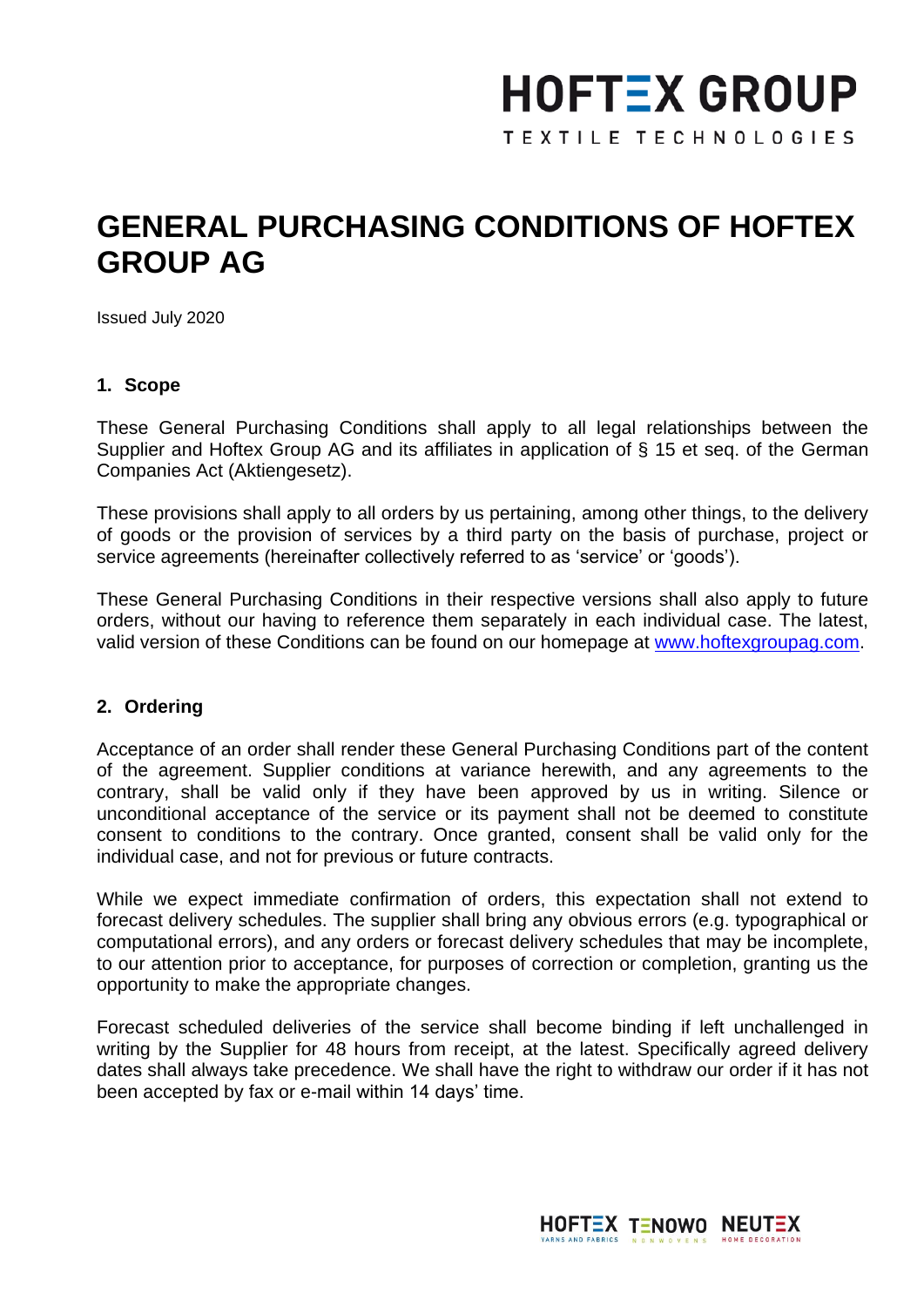# **HOFTEX GROUP**

TEXTILE TECHNOLOGIES

# **GENERAL PURCHASING CONDITIONS OF HOFTEX GROUP AG**

Issued July 2020

#### **1. Scope**

These General Purchasing Conditions shall apply to all legal relationships between the Supplier and Hoftex Group AG and its affiliates in application of § 15 et seq. of the German Companies Act (Aktiengesetz).

These provisions shall apply to all orders by us pertaining, among other things, to the delivery of goods or the provision of services by a third party on the basis of purchase, project or service agreements (hereinafter collectively referred to as 'service' or 'goods').

These General Purchasing Conditions in their respective versions shall also apply to future orders, without our having to reference them separately in each individual case. The latest, valid version of these Conditions can be found on our homepage at [www.hoftexgroupag.com.](http://www.hoftexgroupag.com/)

#### **2. Ordering**

Acceptance of an order shall render these General Purchasing Conditions part of the content of the agreement. Supplier conditions at variance herewith, and any agreements to the contrary, shall be valid only if they have been approved by us in writing. Silence or unconditional acceptance of the service or its payment shall not be deemed to constitute consent to conditions to the contrary. Once granted, consent shall be valid only for the individual case, and not for previous or future contracts.

While we expect immediate confirmation of orders, this expectation shall not extend to forecast delivery schedules. The supplier shall bring any obvious errors (e.g. typographical or computational errors), and any orders or forecast delivery schedules that may be incomplete, to our attention prior to acceptance, for purposes of correction or completion, granting us the opportunity to make the appropriate changes.

Forecast scheduled deliveries of the service shall become binding if left unchallenged in writing by the Supplier for 48 hours from receipt, at the latest. Specifically agreed delivery dates shall always take precedence. We shall have the right to withdraw our order if it has not been accepted by fax or e-mail within 14 days' time.

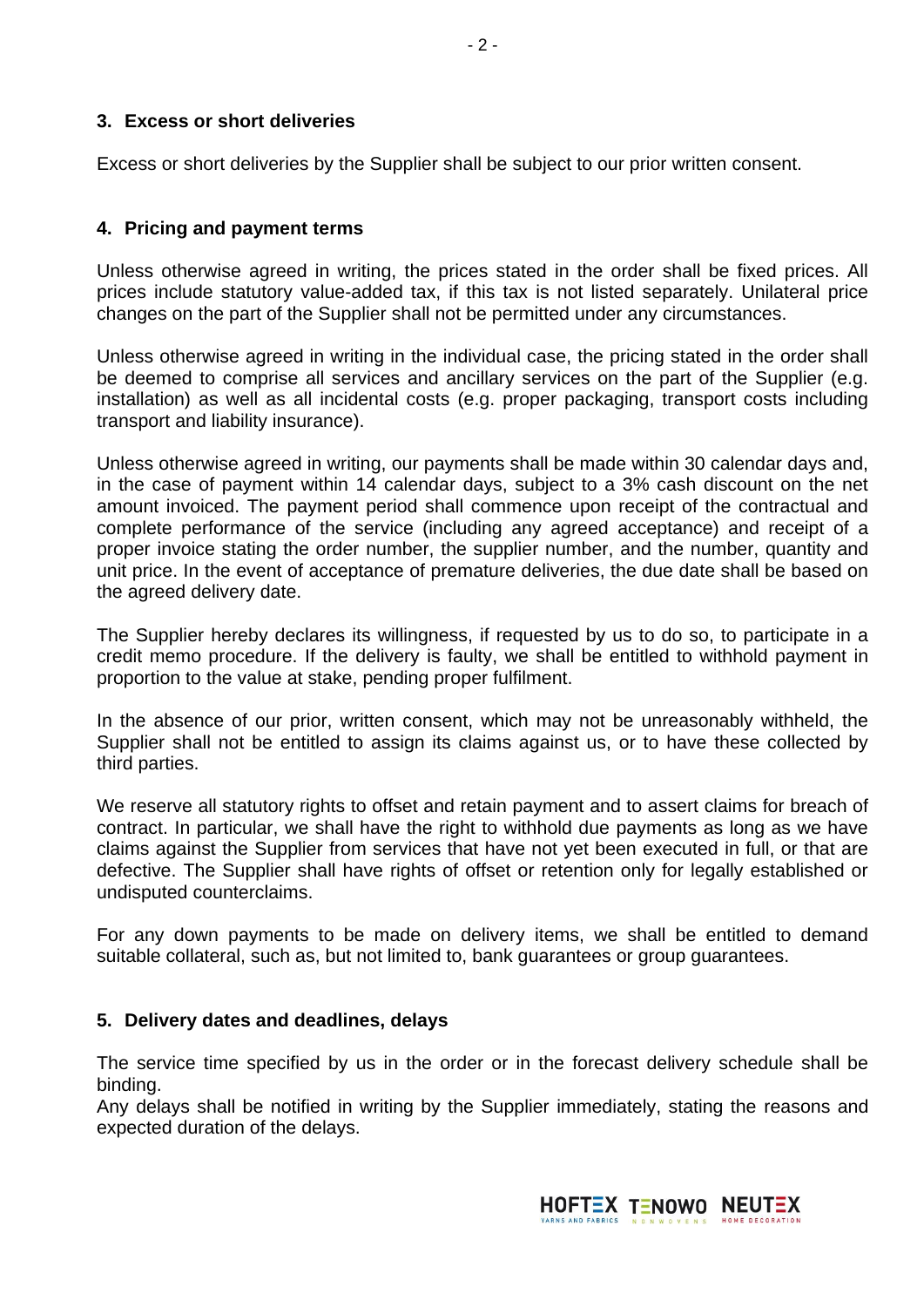#### **3. Excess or short deliveries**

Excess or short deliveries by the Supplier shall be subject to our prior written consent.

#### **4. Pricing and payment terms**

Unless otherwise agreed in writing, the prices stated in the order shall be fixed prices. All prices include statutory value-added tax, if this tax is not listed separately. Unilateral price changes on the part of the Supplier shall not be permitted under any circumstances.

Unless otherwise agreed in writing in the individual case, the pricing stated in the order shall be deemed to comprise all services and ancillary services on the part of the Supplier (e.g. installation) as well as all incidental costs (e.g. proper packaging, transport costs including transport and liability insurance).

Unless otherwise agreed in writing, our payments shall be made within 30 calendar days and, in the case of payment within 14 calendar days, subject to a 3% cash discount on the net amount invoiced. The payment period shall commence upon receipt of the contractual and complete performance of the service (including any agreed acceptance) and receipt of a proper invoice stating the order number, the supplier number, and the number, quantity and unit price. In the event of acceptance of premature deliveries, the due date shall be based on the agreed delivery date.

The Supplier hereby declares its willingness, if requested by us to do so, to participate in a credit memo procedure. If the delivery is faulty, we shall be entitled to withhold payment in proportion to the value at stake, pending proper fulfilment.

In the absence of our prior, written consent, which may not be unreasonably withheld, the Supplier shall not be entitled to assign its claims against us, or to have these collected by third parties.

We reserve all statutory rights to offset and retain payment and to assert claims for breach of contract. In particular, we shall have the right to withhold due payments as long as we have claims against the Supplier from services that have not yet been executed in full, or that are defective. The Supplier shall have rights of offset or retention only for legally established or undisputed counterclaims.

For any down payments to be made on delivery items, we shall be entitled to demand suitable collateral, such as, but not limited to, bank guarantees or group guarantees.

#### **5. Delivery dates and deadlines, delays**

The service time specified by us in the order or in the forecast delivery schedule shall be binding.

Any delays shall be notified in writing by the Supplier immediately, stating the reasons and expected duration of the delays.

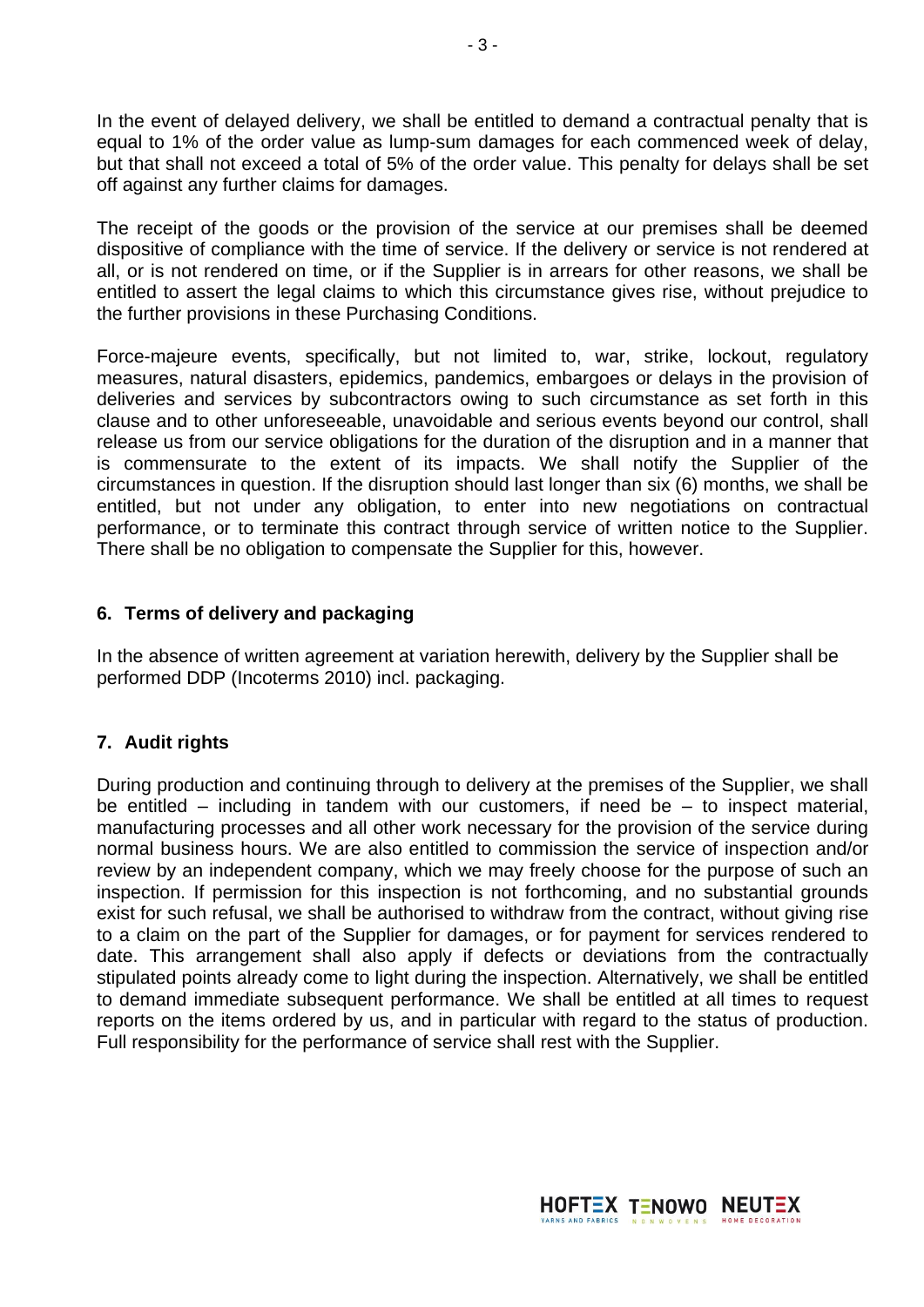In the event of delayed delivery, we shall be entitled to demand a contractual penalty that is equal to 1% of the order value as lump-sum damages for each commenced week of delay, but that shall not exceed a total of 5% of the order value. This penalty for delays shall be set off against any further claims for damages.

The receipt of the goods or the provision of the service at our premises shall be deemed dispositive of compliance with the time of service. If the delivery or service is not rendered at all, or is not rendered on time, or if the Supplier is in arrears for other reasons, we shall be entitled to assert the legal claims to which this circumstance gives rise, without prejudice to the further provisions in these Purchasing Conditions.

Force-majeure events, specifically, but not limited to, war, strike, lockout, regulatory measures, natural disasters, epidemics, pandemics, embargoes or delays in the provision of deliveries and services by subcontractors owing to such circumstance as set forth in this clause and to other unforeseeable, unavoidable and serious events beyond our control, shall release us from our service obligations for the duration of the disruption and in a manner that is commensurate to the extent of its impacts. We shall notify the Supplier of the circumstances in question. If the disruption should last longer than six (6) months, we shall be entitled, but not under any obligation, to enter into new negotiations on contractual performance, or to terminate this contract through service of written notice to the Supplier. There shall be no obligation to compensate the Supplier for this, however.

# **6. Terms of delivery and packaging**

In the absence of written agreement at variation herewith, delivery by the Supplier shall be performed DDP (Incoterms 2010) incl. packaging.

# **7. Audit rights**

During production and continuing through to delivery at the premises of the Supplier, we shall be entitled – including in tandem with our customers, if need be  $-$  to inspect material, manufacturing processes and all other work necessary for the provision of the service during normal business hours. We are also entitled to commission the service of inspection and/or review by an independent company, which we may freely choose for the purpose of such an inspection. If permission for this inspection is not forthcoming, and no substantial grounds exist for such refusal, we shall be authorised to withdraw from the contract, without giving rise to a claim on the part of the Supplier for damages, or for payment for services rendered to date. This arrangement shall also apply if defects or deviations from the contractually stipulated points already come to light during the inspection. Alternatively, we shall be entitled to demand immediate subsequent performance. We shall be entitled at all times to request reports on the items ordered by us, and in particular with regard to the status of production. Full responsibility for the performance of service shall rest with the Supplier.

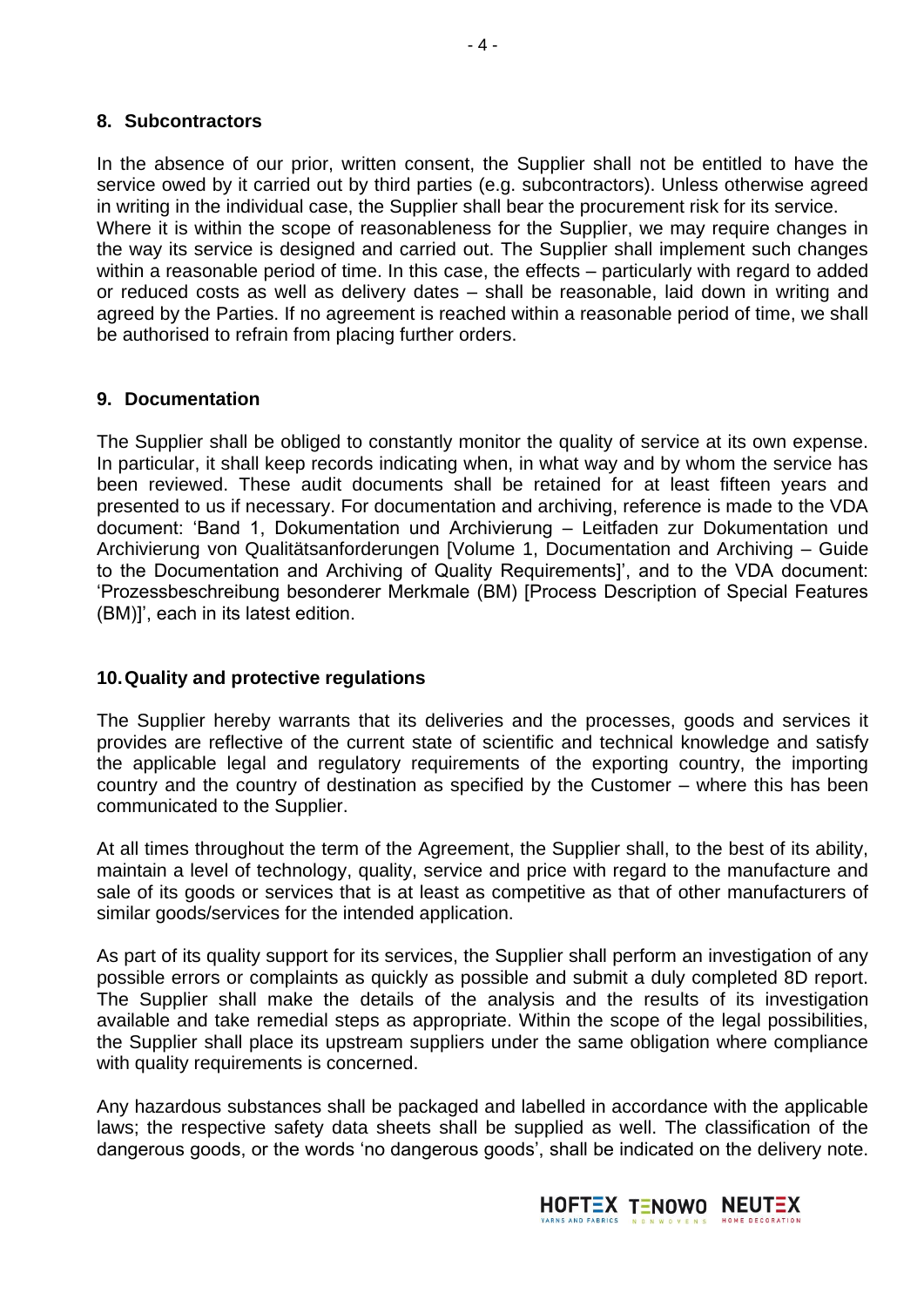#### **8. Subcontractors**

In the absence of our prior, written consent, the Supplier shall not be entitled to have the service owed by it carried out by third parties (e.g. subcontractors). Unless otherwise agreed in writing in the individual case, the Supplier shall bear the procurement risk for its service. Where it is within the scope of reasonableness for the Supplier, we may require changes in the way its service is designed and carried out. The Supplier shall implement such changes within a reasonable period of time. In this case, the effects – particularly with regard to added or reduced costs as well as delivery dates – shall be reasonable, laid down in writing and agreed by the Parties. If no agreement is reached within a reasonable period of time, we shall be authorised to refrain from placing further orders.

#### **9. Documentation**

The Supplier shall be obliged to constantly monitor the quality of service at its own expense. In particular, it shall keep records indicating when, in what way and by whom the service has been reviewed. These audit documents shall be retained for at least fifteen years and presented to us if necessary. For documentation and archiving, reference is made to the VDA document: 'Band 1, Dokumentation und Archivierung – Leitfaden zur Dokumentation und Archivierung von Qualitätsanforderungen [Volume 1, Documentation and Archiving – Guide to the Documentation and Archiving of Quality Requirements]', and to the VDA document: 'Prozessbeschreibung besonderer Merkmale (BM) [Process Description of Special Features (BM)]', each in its latest edition.

#### **10.Quality and protective regulations**

The Supplier hereby warrants that its deliveries and the processes, goods and services it provides are reflective of the current state of scientific and technical knowledge and satisfy the applicable legal and regulatory requirements of the exporting country, the importing country and the country of destination as specified by the Customer – where this has been communicated to the Supplier.

At all times throughout the term of the Agreement, the Supplier shall, to the best of its ability, maintain a level of technology, quality, service and price with regard to the manufacture and sale of its goods or services that is at least as competitive as that of other manufacturers of similar goods/services for the intended application.

As part of its quality support for its services, the Supplier shall perform an investigation of any possible errors or complaints as quickly as possible and submit a duly completed 8D report. The Supplier shall make the details of the analysis and the results of its investigation available and take remedial steps as appropriate. Within the scope of the legal possibilities, the Supplier shall place its upstream suppliers under the same obligation where compliance with quality requirements is concerned.

Any hazardous substances shall be packaged and labelled in accordance with the applicable laws; the respective safety data sheets shall be supplied as well. The classification of the dangerous goods, or the words 'no dangerous goods', shall be indicated on the delivery note.

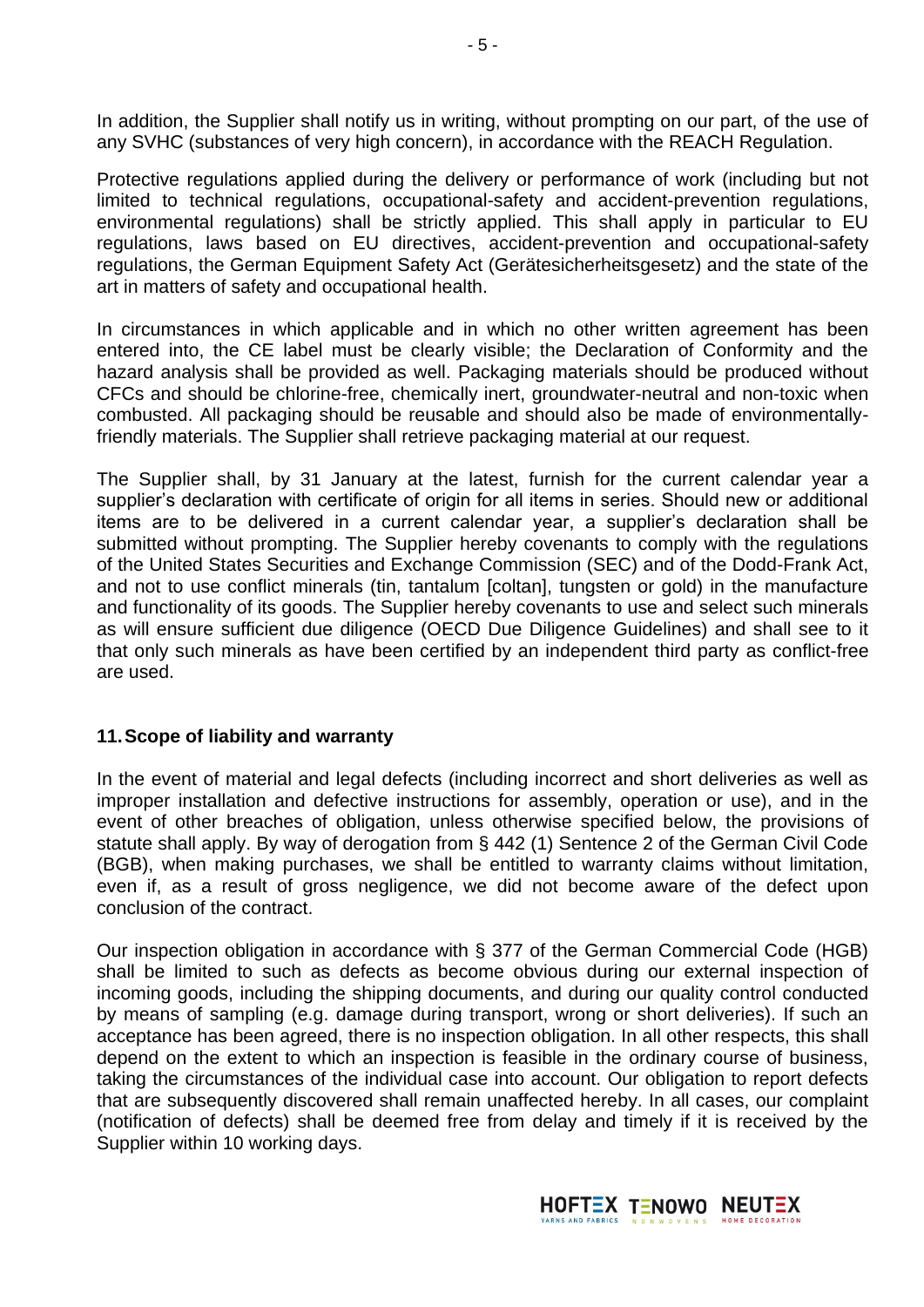In addition, the Supplier shall notify us in writing, without prompting on our part, of the use of any SVHC (substances of very high concern), in accordance with the REACH Regulation.

Protective regulations applied during the delivery or performance of work (including but not limited to technical regulations, occupational-safety and accident-prevention regulations, environmental regulations) shall be strictly applied. This shall apply in particular to EU regulations, laws based on EU directives, accident-prevention and occupational-safety regulations, the German Equipment Safety Act (Gerätesicherheitsgesetz) and the state of the art in matters of safety and occupational health.

In circumstances in which applicable and in which no other written agreement has been entered into, the CE label must be clearly visible; the Declaration of Conformity and the hazard analysis shall be provided as well. Packaging materials should be produced without CFCs and should be chlorine-free, chemically inert, groundwater-neutral and non-toxic when combusted. All packaging should be reusable and should also be made of environmentallyfriendly materials. The Supplier shall retrieve packaging material at our request.

The Supplier shall, by 31 January at the latest, furnish for the current calendar year a supplier's declaration with certificate of origin for all items in series. Should new or additional items are to be delivered in a current calendar year, a supplier's declaration shall be submitted without prompting. The Supplier hereby covenants to comply with the regulations of the United States Securities and Exchange Commission (SEC) and of the Dodd-Frank Act, and not to use conflict minerals (tin, tantalum [coltan], tungsten or gold) in the manufacture and functionality of its goods. The Supplier hereby covenants to use and select such minerals as will ensure sufficient due diligence (OECD Due Diligence Guidelines) and shall see to it that only such minerals as have been certified by an independent third party as conflict-free are used.

#### **11.Scope of liability and warranty**

In the event of material and legal defects (including incorrect and short deliveries as well as improper installation and defective instructions for assembly, operation or use), and in the event of other breaches of obligation, unless otherwise specified below, the provisions of statute shall apply. By way of derogation from § 442 (1) Sentence 2 of the German Civil Code (BGB), when making purchases, we shall be entitled to warranty claims without limitation, even if, as a result of gross negligence, we did not become aware of the defect upon conclusion of the contract.

Our inspection obligation in accordance with § 377 of the German Commercial Code (HGB) shall be limited to such as defects as become obvious during our external inspection of incoming goods, including the shipping documents, and during our quality control conducted by means of sampling (e.g. damage during transport, wrong or short deliveries). If such an acceptance has been agreed, there is no inspection obligation. In all other respects, this shall depend on the extent to which an inspection is feasible in the ordinary course of business, taking the circumstances of the individual case into account. Our obligation to report defects that are subsequently discovered shall remain unaffected hereby. In all cases, our complaint (notification of defects) shall be deemed free from delay and timely if it is received by the Supplier within 10 working days.

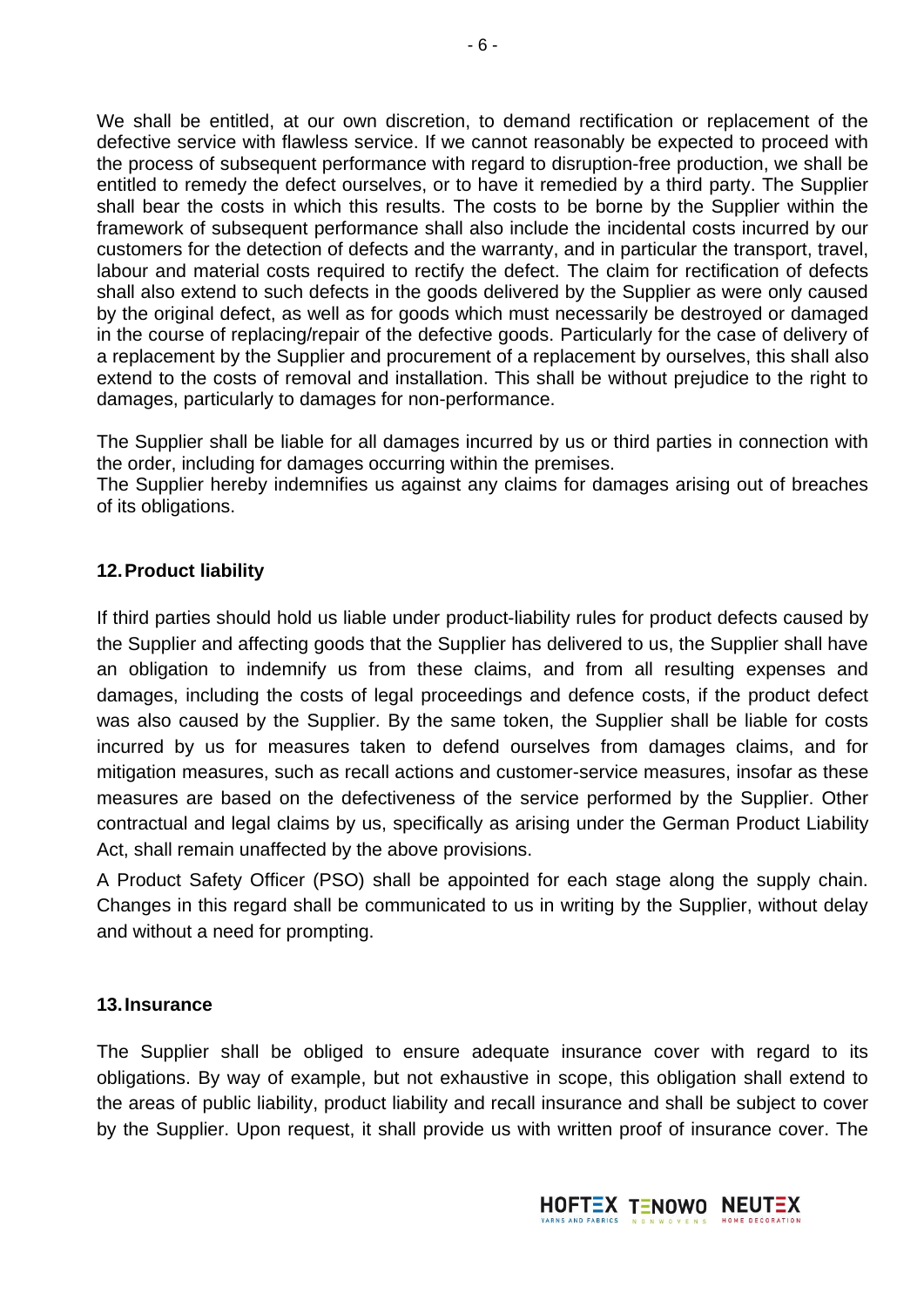We shall be entitled, at our own discretion, to demand rectification or replacement of the defective service with flawless service. If we cannot reasonably be expected to proceed with the process of subsequent performance with regard to disruption-free production, we shall be entitled to remedy the defect ourselves, or to have it remedied by a third party. The Supplier shall bear the costs in which this results. The costs to be borne by the Supplier within the framework of subsequent performance shall also include the incidental costs incurred by our customers for the detection of defects and the warranty, and in particular the transport, travel, labour and material costs required to rectify the defect. The claim for rectification of defects shall also extend to such defects in the goods delivered by the Supplier as were only caused by the original defect, as well as for goods which must necessarily be destroyed or damaged in the course of replacing/repair of the defective goods. Particularly for the case of delivery of a replacement by the Supplier and procurement of a replacement by ourselves, this shall also extend to the costs of removal and installation. This shall be without prejudice to the right to damages, particularly to damages for non-performance.

The Supplier shall be liable for all damages incurred by us or third parties in connection with the order, including for damages occurring within the premises.

The Supplier hereby indemnifies us against any claims for damages arising out of breaches of its obligations.

# **12.Product liability**

If third parties should hold us liable under product-liability rules for product defects caused by the Supplier and affecting goods that the Supplier has delivered to us, the Supplier shall have an obligation to indemnify us from these claims, and from all resulting expenses and damages, including the costs of legal proceedings and defence costs, if the product defect was also caused by the Supplier. By the same token, the Supplier shall be liable for costs incurred by us for measures taken to defend ourselves from damages claims, and for mitigation measures, such as recall actions and customer-service measures, insofar as these measures are based on the defectiveness of the service performed by the Supplier. Other contractual and legal claims by us, specifically as arising under the German Product Liability Act, shall remain unaffected by the above provisions.

A Product Safety Officer (PSO) shall be appointed for each stage along the supply chain. Changes in this regard shall be communicated to us in writing by the Supplier, without delay and without a need for prompting.

# **13.Insurance**

The Supplier shall be obliged to ensure adequate insurance cover with regard to its obligations. By way of example, but not exhaustive in scope, this obligation shall extend to the areas of public liability, product liability and recall insurance and shall be subject to cover by the Supplier. Upon request, it shall provide us with written proof of insurance cover. The

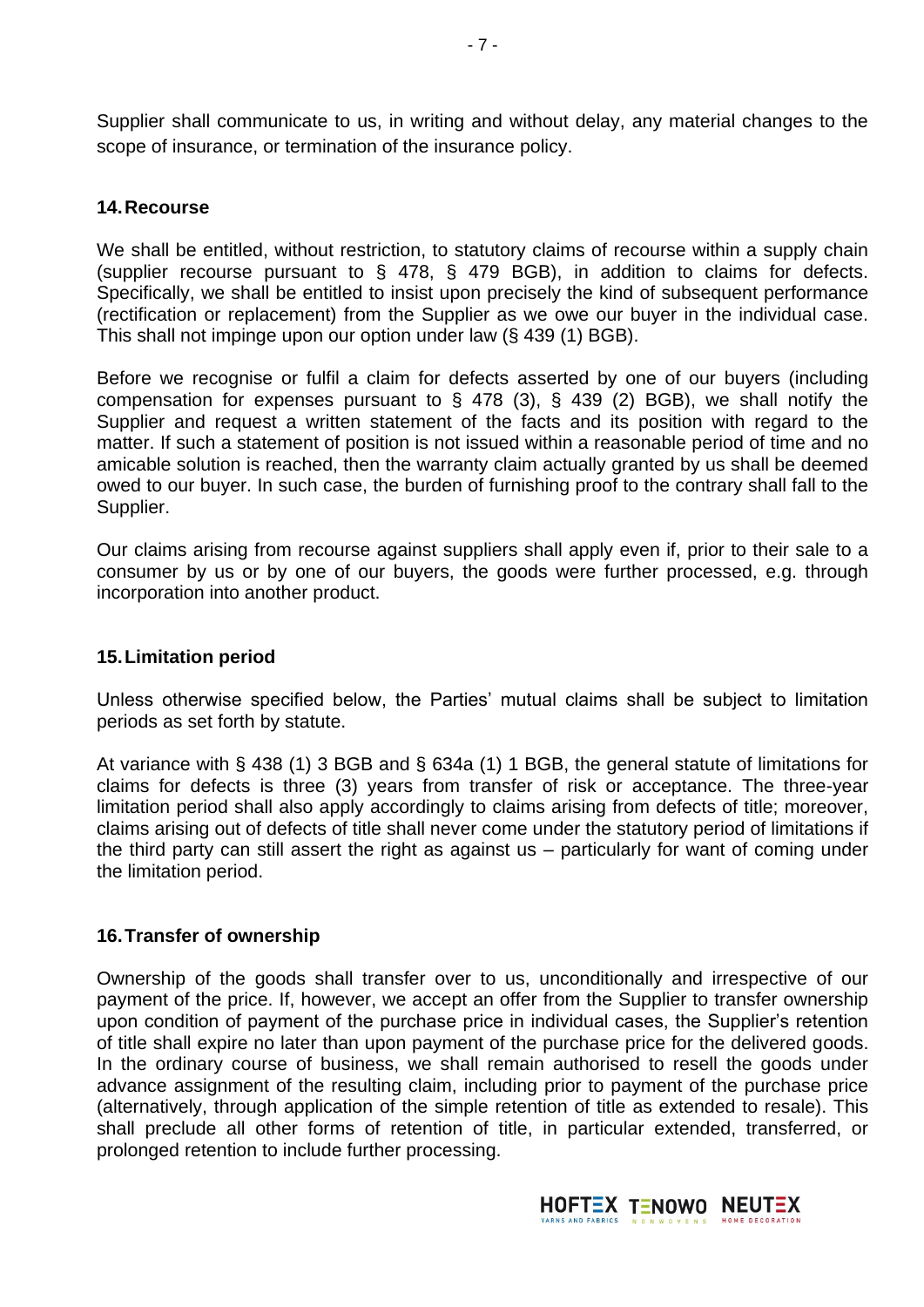Supplier shall communicate to us, in writing and without delay, any material changes to the scope of insurance, or termination of the insurance policy.

#### **14.Recourse**

We shall be entitled, without restriction, to statutory claims of recourse within a supply chain (supplier recourse pursuant to § 478, § 479 BGB), in addition to claims for defects. Specifically, we shall be entitled to insist upon precisely the kind of subsequent performance (rectification or replacement) from the Supplier as we owe our buyer in the individual case. This shall not impinge upon our option under law (§ 439 (1) BGB).

Before we recognise or fulfil a claim for defects asserted by one of our buyers (including compensation for expenses pursuant to § 478 (3), § 439 (2) BGB), we shall notify the Supplier and request a written statement of the facts and its position with regard to the matter. If such a statement of position is not issued within a reasonable period of time and no amicable solution is reached, then the warranty claim actually granted by us shall be deemed owed to our buyer. In such case, the burden of furnishing proof to the contrary shall fall to the Supplier.

Our claims arising from recourse against suppliers shall apply even if, prior to their sale to a consumer by us or by one of our buyers, the goods were further processed, e.g. through incorporation into another product.

#### **15.Limitation period**

Unless otherwise specified below, the Parties' mutual claims shall be subject to limitation periods as set forth by statute.

At variance with § 438 (1) 3 BGB and § 634a (1) 1 BGB, the general statute of limitations for claims for defects is three (3) years from transfer of risk or acceptance. The three-year limitation period shall also apply accordingly to claims arising from defects of title; moreover, claims arising out of defects of title shall never come under the statutory period of limitations if the third party can still assert the right as against us – particularly for want of coming under the limitation period.

#### **16.Transfer of ownership**

Ownership of the goods shall transfer over to us, unconditionally and irrespective of our payment of the price. If, however, we accept an offer from the Supplier to transfer ownership upon condition of payment of the purchase price in individual cases, the Supplier's retention of title shall expire no later than upon payment of the purchase price for the delivered goods. In the ordinary course of business, we shall remain authorised to resell the goods under advance assignment of the resulting claim, including prior to payment of the purchase price (alternatively, through application of the simple retention of title as extended to resale). This shall preclude all other forms of retention of title, in particular extended, transferred, or prolonged retention to include further processing.

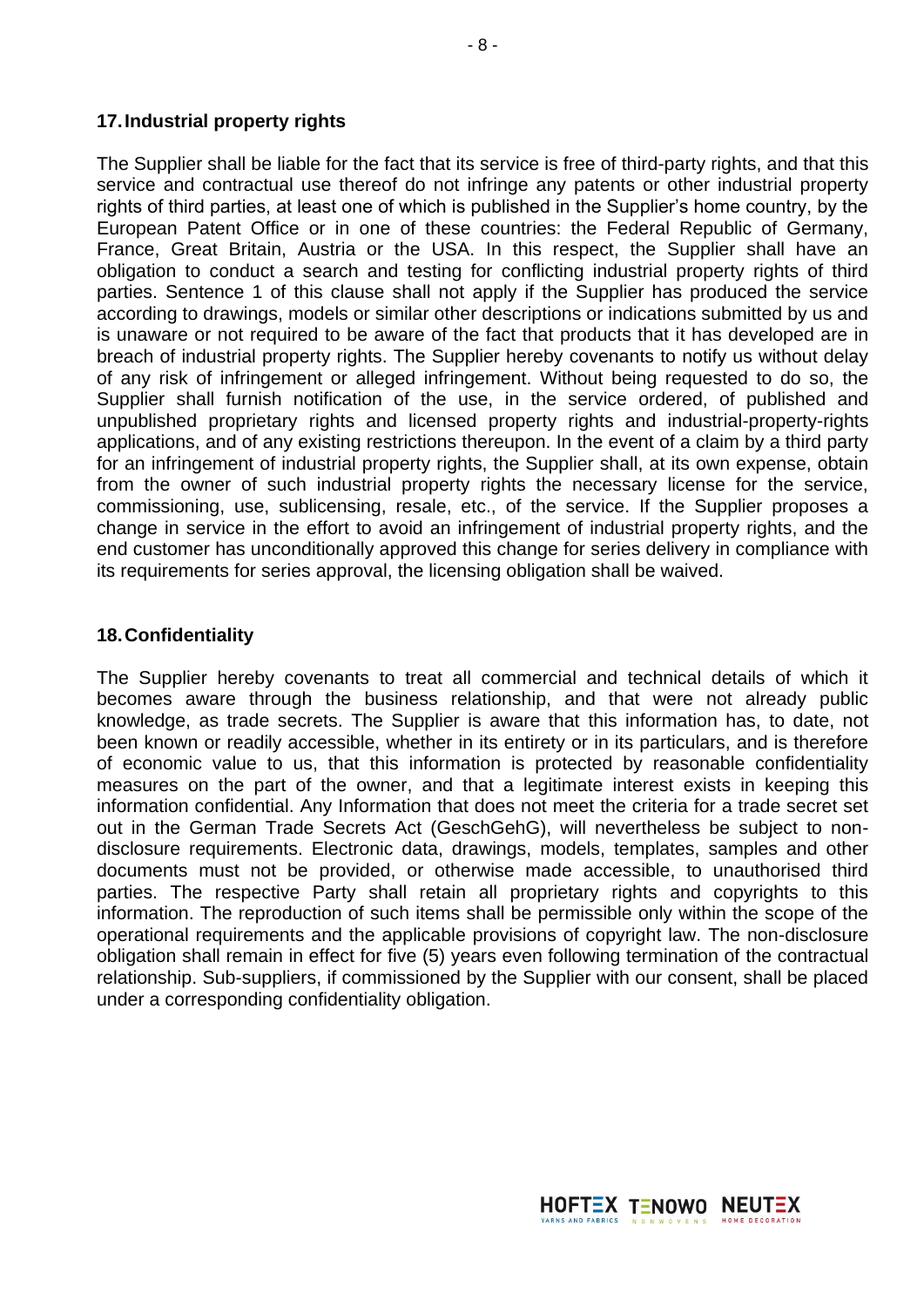#### **17.Industrial property rights**

The Supplier shall be liable for the fact that its service is free of third-party rights, and that this service and contractual use thereof do not infringe any patents or other industrial property rights of third parties, at least one of which is published in the Supplier's home country, by the European Patent Office or in one of these countries: the Federal Republic of Germany, France, Great Britain, Austria or the USA. In this respect, the Supplier shall have an obligation to conduct a search and testing for conflicting industrial property rights of third parties. Sentence 1 of this clause shall not apply if the Supplier has produced the service according to drawings, models or similar other descriptions or indications submitted by us and is unaware or not required to be aware of the fact that products that it has developed are in breach of industrial property rights. The Supplier hereby covenants to notify us without delay of any risk of infringement or alleged infringement. Without being requested to do so, the Supplier shall furnish notification of the use, in the service ordered, of published and unpublished proprietary rights and licensed property rights and industrial-property-rights applications, and of any existing restrictions thereupon. In the event of a claim by a third party for an infringement of industrial property rights, the Supplier shall, at its own expense, obtain from the owner of such industrial property rights the necessary license for the service, commissioning, use, sublicensing, resale, etc., of the service. If the Supplier proposes a change in service in the effort to avoid an infringement of industrial property rights, and the end customer has unconditionally approved this change for series delivery in compliance with its requirements for series approval, the licensing obligation shall be waived.

#### **18.Confidentiality**

The Supplier hereby covenants to treat all commercial and technical details of which it becomes aware through the business relationship, and that were not already public knowledge, as trade secrets. The Supplier is aware that this information has, to date, not been known or readily accessible, whether in its entirety or in its particulars, and is therefore of economic value to us, that this information is protected by reasonable confidentiality measures on the part of the owner, and that a legitimate interest exists in keeping this information confidential. Any Information that does not meet the criteria for a trade secret set out in the German Trade Secrets Act (GeschGehG), will nevertheless be subject to nondisclosure requirements. Electronic data, drawings, models, templates, samples and other documents must not be provided, or otherwise made accessible, to unauthorised third parties. The respective Party shall retain all proprietary rights and copyrights to this information. The reproduction of such items shall be permissible only within the scope of the operational requirements and the applicable provisions of copyright law. The non-disclosure obligation shall remain in effect for five (5) years even following termination of the contractual relationship. Sub-suppliers, if commissioned by the Supplier with our consent, shall be placed under a corresponding confidentiality obligation.